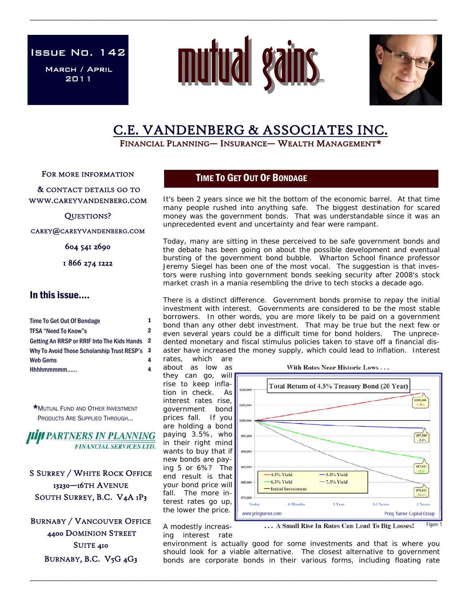Issue No. 142

March / April 2011



\_\_\_\_\_\_\_\_\_\_\_\_\_\_\_\_\_\_\_\_\_\_\_\_\_\_\_\_\_\_\_\_\_\_\_\_\_\_\_\_\_\_\_\_\_\_\_\_\_\_\_\_\_\_\_\_\_\_\_\_\_\_\_\_\_\_\_\_\_\_\_\_\_\_\_\_\_\_\_\_\_\_\_\_\_\_\_\_\_\_\_\_\_\_\_\_\_\_\_\_\_\_\_\_\_\_\_\_\_\_\_\_\_\_\_\_\_\_



# C.E. VANDENBERG & ASSOCIATES INC.<br>FINANCIAL PLANNING— INSURANCE— WEALTH MANAGEMENT\*

FOR MORE INFORMATION

 & CONTACT DETAILS GO TO WWW.CAREYVANDENBERG.COM

QUESTIONS?

CAREY@CAREYVANDENBERG.COM

604 541 2690

1 866 274 1222

## In this issue….

| Time To Get Out Of Bondage                    | 1 |
|-----------------------------------------------|---|
| <b>TFSA "Need To Know"s</b>                   | 2 |
| Getting An RRSP or RRIF Into The Kids Hands 2 |   |
| Why To Avoid Those Scholarship Trust RESP's 3 |   |
| <b>Web Gems</b>                               | 4 |
| Hhhhmmmmm                                     |   |

\*MUTUAL FUND AND OTHER INVESTMENT PRODUCTS ARE SUPPLIED THROUGH...

**HIJI PARTNERS IN PLANNING FINANCIAL SERVICES LTD.** 

S SURREY / WHITE ROCK OFFICE 13230—16TH AVENUE SOUTH SURREY, B.C. V4A 1P3

BURNABY / VANCOUVER OFFICE 4400 DOMINION STREET SUITE 410 BURNABY, B.C. V5G 4G3

# TIME TO GET OUT OF BONDAGE

It's been 2 years since we hit the bottom of the economic barrel. At that time many people rushed into anything safe. The biggest destination for scared money was the government bonds. That was understandable since it was an unprecedented event and uncertainty and fear were rampant.

Today, many are sitting in these perceived to be safe government bonds and the debate has been going on about the possible development and eventual bursting of the government bond bubble. Wharton School finance professor Jeremy Siegel has been one of the most vocal. The suggestion is that investors were rushing into government bonds seeking security after 2008's stock market crash in a mania resembling the drive to tech stocks a decade ago.

There is a distinct difference. Government bonds promise to repay the initial investment with interest. Governments are considered to be the most stable borrowers. In other words, you are more likely to be paid on a government bond than any other debt investment. That may be true but the next few or even several years could be a difficult time for bond holders. The unprecedented monetary and fiscal stimulus policies taken to stave off a financial disaster have increased the money supply, which could lead to inflation. Interest rates, which are

about as low as they can go, will rise to keep inflation in check. As interest rates rise, government bond prices fall. If you are holding a bond paying 3.5%, who in their right mind wants to buy that if new bonds are paying 5 or 6%? The end result is that your bond price will fall. The more interest rates go up, the lower the price.



With Rates Near Historic Lows ...

A modestly increasing interest rate

\_\_\_\_\_\_\_\_\_\_\_\_\_\_\_\_\_\_\_\_\_\_\_\_\_\_\_\_\_\_\_\_\_\_\_\_\_\_\_\_\_\_\_\_\_\_\_\_\_\_\_\_\_\_\_\_\_\_\_\_\_\_\_\_\_\_\_\_\_\_\_\_\_\_\_\_\_\_\_\_\_\_\_\_\_\_\_\_\_\_\_\_\_\_\_\_\_\_\_\_\_\_\_\_\_\_\_\_\_\_\_\_\_\_\_\_\_\_

... A Small Rise In Rates Can Lead To Big Losses! Figure 1

environment is actually good for some investments and that is where you should look for a viable alternative. The closest alternative to government bonds are corporate bonds in their various forms, including floating rate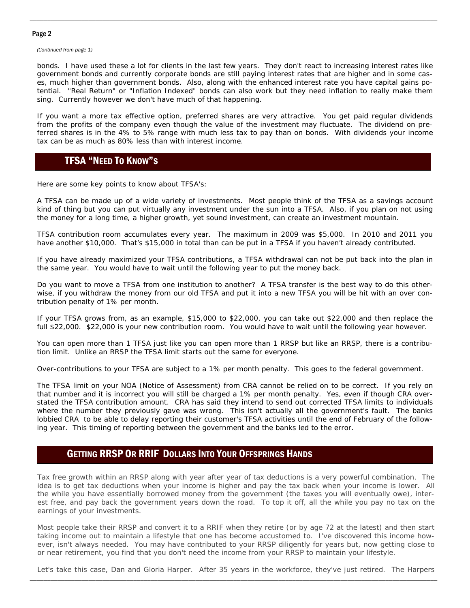#### Page 2

*(Continued from page 1)* 

bonds. I have used these a lot for clients in the last few years. They don't react to increasing interest rates like government bonds and currently corporate bonds are still paying interest rates that are higher and in some cases, much higher than government bonds. Also, along with the enhanced interest rate you have capital gains potential. "Real Return" or "Inflation Indexed" bonds can also work but they need inflation to really make them sing. Currently however we don't have much of that happening.

\_\_\_\_\_\_\_\_\_\_\_\_\_\_\_\_\_\_\_\_\_\_\_\_\_\_\_\_\_\_\_\_\_\_\_\_\_\_\_\_\_\_\_\_\_\_\_\_\_\_\_\_\_\_\_\_\_\_\_\_\_\_\_\_\_\_\_\_\_\_\_\_\_\_\_\_\_\_\_\_\_\_\_\_\_\_\_\_\_\_\_\_\_\_\_\_\_\_\_\_\_\_\_\_\_\_\_\_\_\_\_\_\_\_\_\_\_\_

If you want a more tax effective option, preferred shares are very attractive. You get paid regular dividends from the profits of the company even though the value of the investment may fluctuate. The dividend on preferred shares is in the 4% to 5% range with much less tax to pay than on bonds. With dividends your income tax can be as much as 80% less than with interest income.

# TFSA "NEED TO KNOW"S

Here are some key points to know about TFSA's:

A TFSA can be made up of a wide variety of investments. Most people think of the TFSA as a savings account kind of thing but you can put virtually any investment under the sun into a TFSA. Also, if you plan on not using the money for a long time, a higher growth, yet sound investment, can create an investment mountain.

TFSA contribution room accumulates every year. The maximum in 2009 was \$5,000. In 2010 and 2011 you have another \$10,000. That's \$15,000 in total than can be put in a TFSA if you haven't already contributed.

If you have already maximized your TFSA contributions, a TFSA withdrawal can not be put back into the plan in the same year. You would have to wait until the following year to put the money back.

Do you want to move a TFSA from one institution to another? A TFSA transfer is the best way to do this otherwise, if you withdraw the money from our old TFSA and put it into a new TFSA you will be hit with an over contribution penalty of 1% per month.

If your TFSA grows from, as an example, \$15,000 to \$22,000, you can take out \$22,000 and then replace the full \$22,000. \$22,000 is your new contribution room. You would have to wait until the following year however.

You can open more than 1 TFSA just like you can open more than 1 RRSP but like an RRSP, there is a contribution limit. Unlike an RRSP the TFSA limit starts out the same for everyone.

Over-contributions to your TFSA are subject to a 1% per month penalty. This goes to the federal government.

The TFSA limit on your NOA (Notice of Assessment) from CRA cannot be relied on to be correct. If you rely on that number and it is incorrect you will still be charged a 1% per month penalty. Yes, even if though CRA overstated the TFSA contribution amount. CRA has said they intend to send out corrected TFSA limits to individuals where the number they previously gave was wrong. This isn't actually all the government's fault. The banks lobbied CRA to be able to delay reporting their customer's TFSA activities until the end of February of the following year. This timing of reporting between the government and the banks led to the error.

### GETTING RRSP OR RRIF DOLLARS INTO YOUR OFFSPRINGS HANDS

Tax free growth within an RRSP along with year after year of tax deductions is a very powerful combination. The idea is to get tax deductions when your income is higher and pay the tax back when your income is lower. All the while you have essentially borrowed money from the government (the taxes you will eventually owe), interest free, and pay back the government years down the road. To top it off, all the while you pay no tax on the earnings of your investments.

Most people take their RRSP and convert it to a RRIF when they retire (or by age 72 at the latest) and then start taking income out to maintain a lifestyle that one has become accustomed to. I've discovered this income however, isn't always needed. You may have contributed to your RRSP diligently for years but, now getting close to or near retirement, you find that you don't need the income from your RRSP to maintain your lifestyle.

\_\_\_\_\_\_\_\_\_\_\_\_\_\_\_\_\_\_\_\_\_\_\_\_\_\_\_\_\_\_\_\_\_\_\_\_\_\_\_\_\_\_\_\_\_\_\_\_\_\_\_\_\_\_\_\_\_\_\_\_\_\_\_\_\_\_\_\_\_\_\_\_\_\_\_\_\_\_\_\_\_\_\_\_\_\_\_\_\_\_\_\_\_\_\_\_\_\_\_\_\_\_\_\_\_\_\_\_\_\_\_\_\_\_\_\_\_\_ Let's take this case, Dan and Gloria Harper. After 35 years in the workforce, they've just retired. The Harpers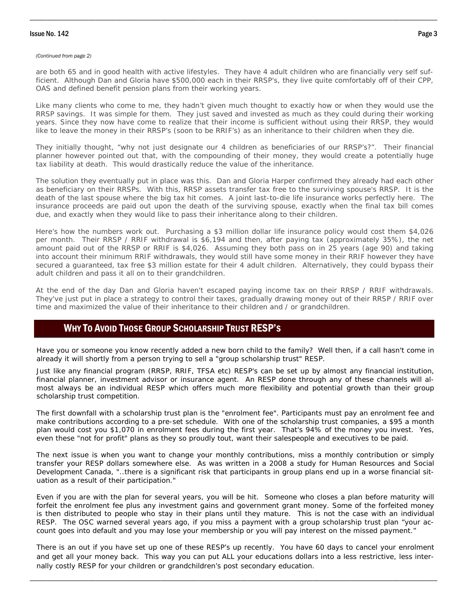#### Issue No. 142 Page 3

#### *(Continued from page 2)*

are both 65 and in good health with active lifestyles. They have 4 adult children who are financially very self sufficient. Although Dan and Gloria have \$500,000 each in their RRSP's, they live quite comfortably off of their CPP, OAS and defined benefit pension plans from their working years.

\_\_\_\_\_\_\_\_\_\_\_\_\_\_\_\_\_\_\_\_\_\_\_\_\_\_\_\_\_\_\_\_\_\_\_\_\_\_\_\_\_\_\_\_\_\_\_\_\_\_\_\_\_\_\_\_\_\_\_\_\_\_\_\_\_\_\_\_\_\_\_\_\_\_\_\_\_\_\_\_\_\_\_\_\_\_\_\_\_\_\_\_\_\_\_\_\_\_\_\_\_\_\_\_\_\_\_\_\_\_\_\_\_\_\_\_\_\_

Like many clients who come to me, they hadn't given much thought to exactly how or when they would use the RRSP savings. It was simple for them. They just saved and invested as much as they could during their working years. Since they now have come to realize that their income is sufficient without using their RRSP, they would like to leave the money in their RRSP's (soon to be RRIF's) as an inheritance to their children when they die.

They initially thought, "why not just designate our 4 children as beneficiaries of our RRSP's?". Their financial planner however pointed out that, with the compounding of their money, they would create a potentially huge tax liability at death. This would drastically reduce the value of the inheritance.

The solution they eventually put in place was this. Dan and Gloria Harper confirmed they already had each other as beneficiary on their RRSPs. With this, RRSP assets transfer tax free to the surviving spouse's RRSP. It is the death of the last spouse where the big tax hit comes. A joint last-to-die life insurance works perfectly here. The insurance proceeds are paid out upon the death of the surviving spouse, exactly when the final tax bill comes due, and exactly when they would like to pass their inheritance along to their children.

Here's how the numbers work out. Purchasing a \$3 million dollar life insurance policy would cost them \$4,026 per month. Their RRSP / RRIF withdrawal is \$6,194 and then, after paying tax (approximately 35%), the net amount paid out of the RRSP or RRIF is \$4,026. Assuming they both pass on in 25 years (age 90) and taking into account their minimum RRIF withdrawals, they would still have some money in their RRIF however they have secured a guaranteed, tax free \$3 million estate for their 4 adult children. Alternatively, they could bypass their adult children and pass it all on to their grandchildren.

At the end of the day Dan and Gloria haven't escaped paying income tax on their RRSP / RRIF withdrawals. They've just put in place a strategy to control their taxes, gradually drawing money out of their RRSP / RRIF over time and maximized the value of their inheritance to their children and / or grandchildren.

# WHY TO AVOID THOSE GROUP SCHOLARSHIP TRUST RESP'S

Have you or someone you know recently added a new born child to the family? Well then, if a call hasn't come in already it will shortly from a person trying to sell a "group scholarship trust" RESP.

Just like any financial program (RRSP, RRIF, TFSA etc) RESP's can be set up by almost any financial institution, financial planner, investment advisor or insurance agent. An RESP done through any of these channels will almost always be an individual RESP which offers much more flexibility and potential growth than their group scholarship trust competition.

The first downfall with a scholarship trust plan is the "enrolment fee". Participants must pay an enrolment fee and make contributions according to a pre-set schedule. With one of the scholarship trust companies, a \$95 a month plan would cost you \$1,070 in enrolment fees during the first year. That's 94% of the money you invest. Yes, even these "not for profit" plans as they so proudly tout, want their salespeople and executives to be paid.

The next issue is when you want to change your monthly contributions, miss a monthly contribution or simply transfer your RESP dollars somewhere else. As was written in a 2008 a study for Human Resources and Social Development Canada, "..there is a significant risk that participants in group plans end up in a worse financial situation as a result of their participation."

Even if you are with the plan for several years, you will be hit. Someone who closes a plan before maturity will forfeit the enrolment fee plus any investment gains and government grant money. Some of the forfeited money is then distributed to people who stay in their plans until they mature. This is not the case with an individual RESP. The OSC warned several years ago, if you miss a payment with a group scholarship trust plan "your account goes into default and you may lose your membership or you will pay interest on the missed payment."

There is an out if you have set up one of these RESP's up recently. You have 60 days to cancel your enrolment and get all your money back. This way you can put ALL your educations dollars into a less restrictive, less internally costly RESP for your children or grandchildren's post secondary education.

\_\_\_\_\_\_\_\_\_\_\_\_\_\_\_\_\_\_\_\_\_\_\_\_\_\_\_\_\_\_\_\_\_\_\_\_\_\_\_\_\_\_\_\_\_\_\_\_\_\_\_\_\_\_\_\_\_\_\_\_\_\_\_\_\_\_\_\_\_\_\_\_\_\_\_\_\_\_\_\_\_\_\_\_\_\_\_\_\_\_\_\_\_\_\_\_\_\_\_\_\_\_\_\_\_\_\_\_\_\_\_\_\_\_\_\_\_\_